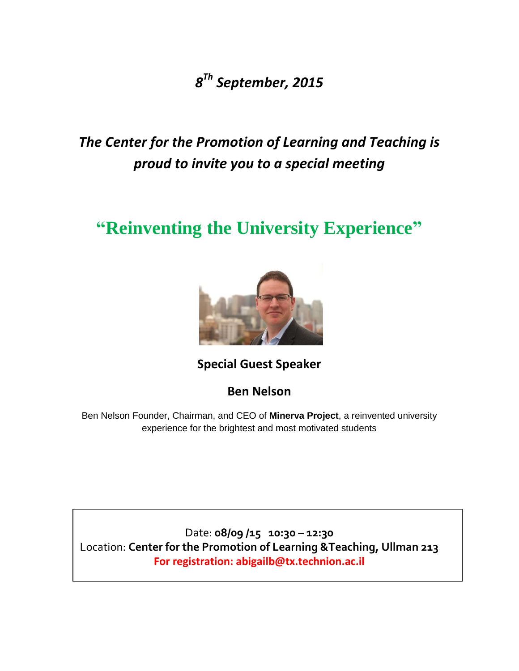*8 Th September, 2015*

*The Center for the Promotion of Learning and Teaching is proud to invite you to a special meeting*

## **"Reinventing the University Experience"**



**Special Guest Speaker** 

**Ben Nelson**

Ben Nelson Founder, Chairman, and CEO of **Minerva Project**, a reinvented university experience for the brightest and most motivated students

Date: **08/09 /15 10:30 – 12:30** Location: **Center for the Promotion of Learning &Teaching, Ullman 213 For registration: abigailb@tx.technion.ac.il**